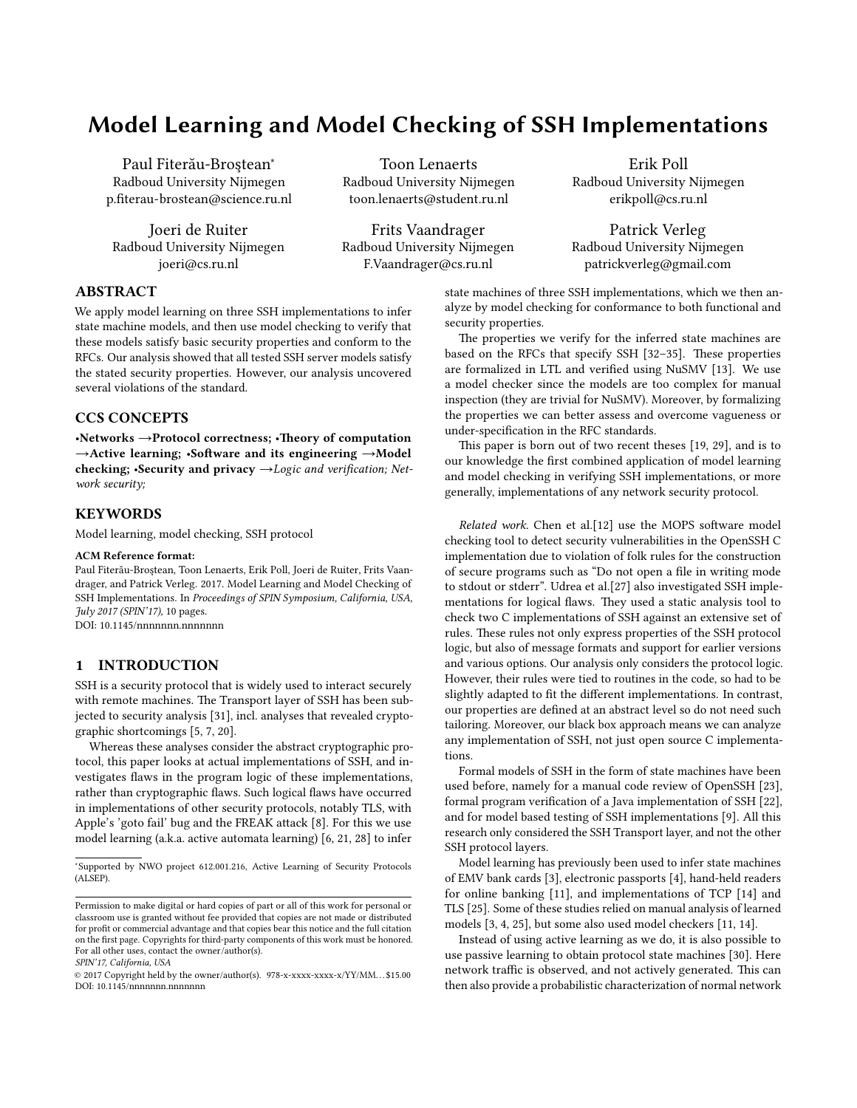# Model Learning and Model Checking of SSH Implementations

Paul Fiterău-Brostean\* Radboud University Nijmegen p.fiterau-brostean@science.ru.nl

Joeri de Ruiter Radboud University Nijmegen joeri@cs.ru.nl

Toon Lenaerts Radboud University Nijmegen toon.lenaerts@student.ru.nl

Frits Vaandrager Radboud University Nijmegen F.Vaandrager@cs.ru.nl

Erik Poll Radboud University Nijmegen erikpoll@cs.ru.nl

Patrick Verleg Radboud University Nijmegen patrickverleg@gmail.com

# ABSTRACT

We apply model learning on three SSH implementations to infer state machine models, and then use model checking to verify that these models satisfy basic security properties and conform to the RFCs. Our analysis showed that all tested SSH server models satisfy the stated security properties. However, our analysis uncovered several violations of the standard.

# CCS CONCEPTS

•Networks  $\rightarrow$  Protocol correctness; •Theory of computation →Active learning; •Software and its engineering →Model checking; •Security and privacy  $\rightarrow$ Logic and verification; Network security;

# **KEYWORDS**

Model learning, model checking, SSH protocol

#### ACM Reference format:

Paul Fiterău-Broștean, Toon Lenaerts, Erik Poll, Joeri de Ruiter, Frits Vaandrager, and Patrick Verleg. 2017. Model Learning and Model Checking of SSH Implementations. In Proceedings of SPIN Symposium, California, USA, July 2017 (SPIN'17), [10](#page-9-0) pages.

DOI: 10.1145/nnnnnnn.nnnnnnn

# 1 INTRODUCTION

SSH is a security protocol that is widely used to interact securely with remote machines. The Transport layer of SSH has been subjected to security analysis [\[31\]](#page-9-1), incl. analyses that revealed cryptographic shortcomings [\[5,](#page-9-2) [7,](#page-9-3) [20\]](#page-9-4).

Whereas these analyses consider the abstract cryptographic protocol, this paper looks at actual implementations of SSH, and investigates flaws in the program logic of these implementations, rather than cryptographic flaws. Such logical flaws have occurred in implementations of other security protocols, notably TLS, with Apple's 'goto fail' bug and the FREAK attack [\[8\]](#page-9-5). For this we use model learning (a.k.a. active automata learning) [\[6,](#page-9-6) [21,](#page-9-7) [28\]](#page-9-8) to infer

SPIN'17, California, USA

state machines of three SSH implementations, which we then analyze by model checking for conformance to both functional and security properties.

The properties we verify for the inferred state machines are based on the RFCs that specify SSH [\[32](#page-9-9)-35]. These properties are formalized in LTL and verified using NuSMV [\[13\]](#page-9-11). We use a model checker since the models are too complex for manual inspection (they are trivial for NuSMV). Moreover, by formalizing the properties we can better assess and overcome vagueness or under-specification in the RFC standards.

This paper is born out of two recent theses [\[19,](#page-9-12) [29\]](#page-9-13), and is to our knowledge the first combined application of model learning and model checking in verifying SSH implementations, or more generally, implementations of any network security protocol.

Related work. Chen et al.[\[12\]](#page-9-14) use the MOPS software model checking tool to detect security vulnerabilities in the OpenSSH C implementation due to violation of folk rules for the construction of secure programs such as "Do not open a file in writing mode to stdout or stderr". Udrea et al.[\[27\]](#page-9-15) also investigated SSH implementations for logical flaws. They used a static analysis tool to check two C implementations of SSH against an extensive set of rules. These rules not only express properties of the SSH protocol logic, but also of message formats and support for earlier versions and various options. Our analysis only considers the protocol logic. However, their rules were tied to routines in the code, so had to be slightly adapted to fit the different implementations. In contrast, our properties are defined at an abstract level so do not need such tailoring. Moreover, our black box approach means we can analyze any implementation of SSH, not just open source C implementations.

Formal models of SSH in the form of state machines have been used before, namely for a manual code review of OpenSSH [\[23\]](#page-9-16), formal program verification of a Java implementation of SSH [\[22\]](#page-9-17), and for model based testing of SSH implementations [\[9\]](#page-9-18). All this research only considered the SSH Transport layer, and not the other SSH protocol layers.

Model learning has previously been used to infer state machines of EMV bank cards [\[3\]](#page-9-19), electronic passports [\[4\]](#page-9-20), hand-held readers for online banking [\[11\]](#page-9-21), and implementations of TCP [\[14\]](#page-9-22) and TLS [\[25\]](#page-9-23). Some of these studies relied on manual analysis of learned models [\[3,](#page-9-19) [4,](#page-9-20) [25\]](#page-9-23), but some also used model checkers [\[11,](#page-9-21) [14\]](#page-9-22).

Instead of using active learning as we do, it is also possible to use passive learning to obtain protocol state machines [\[30\]](#page-9-24). Here network traffic is observed, and not actively generated. This can then also provide a probabilistic characterization of normal network

<sup>∗</sup> Supported by NWO project 612.001.216, Active Learning of Security Protocols (ALSEP).

Permission to make digital or hard copies of part or all of this work for personal or classroom use is granted without fee provided that copies are not made or distributed for profit or commercial advantage and that copies bear this notice and the full citation on the first page. Copyrights for third-party components of this work must be honored. For all other uses, contact the owner/author(s).

<sup>©</sup> 2017 Copyright held by the owner/author(s). 978-x-xxxx-xxxx-x/YY/MM. . . \$15.00 DOI: 10.1145/nnnnnnn.nnnnnnn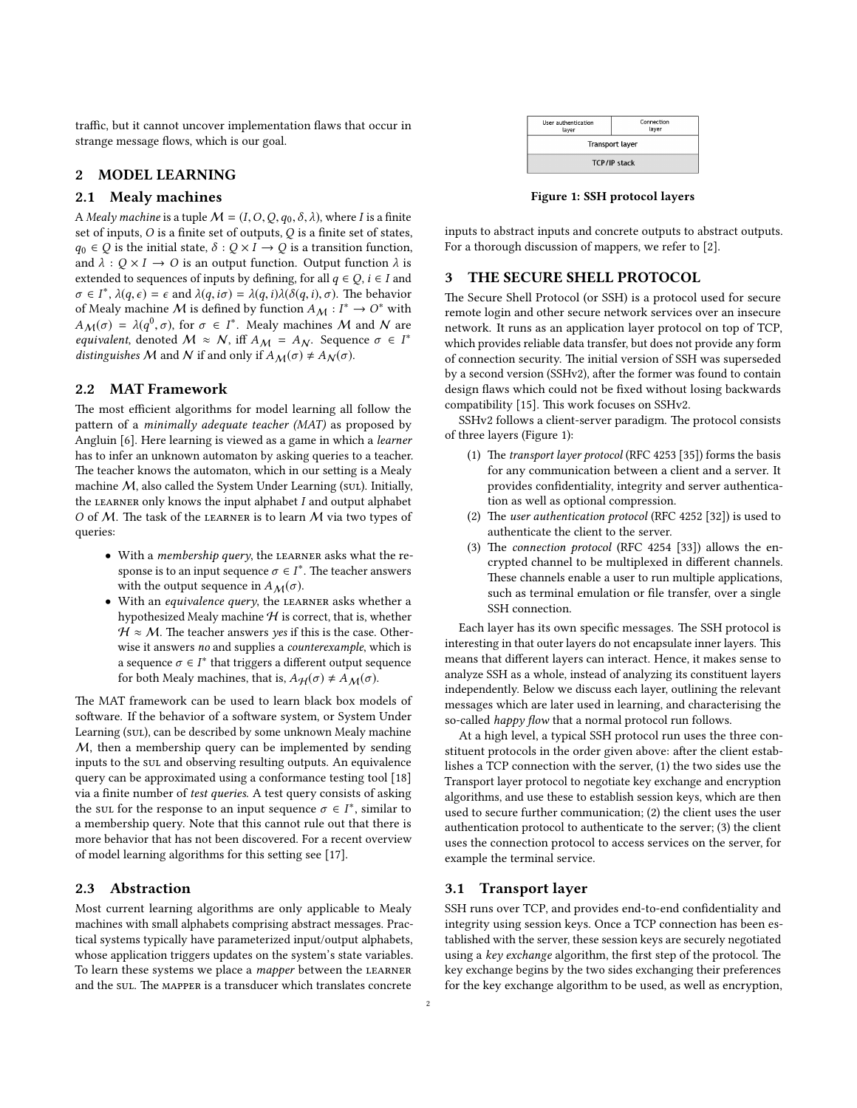traffic, but it cannot uncover implementation flaws that occur in strange message flows, which is our goal.

# 2 MODEL LEARNING

#### 2.1 Mealy machines

A Mealy machine is a tuple  $M = (I, O, Q, q_0, \delta, \lambda)$ , where I is a finite set of inputs,  $O$  is a finite set of outputs,  $Q$  is a finite set of states,  $q_0 \in Q$  is the initial state,  $\delta : Q \times I \rightarrow Q$  is a transition function, and  $\lambda$  :  $Q \times I \rightarrow O$  is an output function. Output function  $\lambda$  is extended to sequences of inputs by defining, for all  $q \in Q$ ,  $i \in I$  and  $\sigma \in I^*$ ,  $\lambda(q, \epsilon) = \epsilon$  and  $\lambda(q, i\sigma) = \lambda(q, i)\lambda(\delta(q, i), \sigma)$ . The behavior of Mealy machine *M* is defined by function  $A \cup I^* \to O^*$  with of Mealy machine M is defined by function  $A_M : I^* \to O^*$  with  $A_{\lambda}(f) = \lambda(g^0, \tau)$  for  $\tau \in I^*$ . Moreover, M and M are  $A_{\mathcal{M}}(\sigma) = \lambda(q^0, \sigma)$ , for  $\sigma \in I^*$ . Mealy machines M and N are<br>equivalent denoted  $M \sim N$  iff  $A_{\mathcal{M}} = A_{\mathcal{M}}$ . Sequence  $\sigma \in I^*$ equivalent, denoted  $M \approx N$ , iff  $A_M = A_N$ . Sequence  $\sigma \in I^*$ <br>distinguishes M and M if and only if  $A_{\text{tot}}(\sigma) + A_{\text{tot}}(\sigma)$ distinguishes M and N if and only if  $A_M(\sigma) \neq A_N(\sigma)$ .

#### 2.2 MAT Framework

The most efficient algorithms for model learning all follow the pattern of a *minimally adequate teacher (MAT)* as proposed by Angluin [\[6\]](#page-9-6). Here learning is viewed as a game in which a learner has to infer an unknown automaton by asking queries to a teacher. The teacher knows the automaton, which in our setting is a Mealy machine  $M$ , also called the System Under Learning (sul). Initially, the LEARNER only knows the input alphabet  $I$  and output alphabet O of  $M$ . The task of the LEARNER is to learn  $M$  via two types of queries:

- With a membership query, the LEARNER asks what the response is to an input sequence  $\sigma \in I^*$ . The teacher answers with the output sequence in  $A_M(\sigma)$ .
- With an equivalence query, the LEARNER asks whether a hypothesized Mealy machine  $H$  is correct, that is, whether  $H \approx M$ . The teacher answers yes if this is the case. Otherwise it answers no and supplies a counterexample, which is a sequence  $\sigma \in I^*$  that triggers a different output sequence<br>for both Maaly machines, that is,  $A_{\sigma}(\sigma) \neq A_{\sigma}(\sigma)$ for both Mealy machines, that is,  $A_H(\sigma) \neq A_M(\sigma)$ .

The MAT framework can be used to learn black box models of software. If the behavior of a software system, or System Under Learning (sul), can be described by some unknown Mealy machine M, then a membership query can be implemented by sending inputs to the sul and observing resulting outputs. An equivalence query can be approximated using a conformance testing tool [\[18\]](#page-9-25) via a finite number of test queries. A test query consists of asking the sul for the response to an input sequence  $\sigma \in I^*$ , similar to a membership query. Note that this cannot rule out that there is a membership query. Note that this cannot rule out that there is more behavior that has not been discovered. For a recent overview of model learning algorithms for this setting see [\[17\]](#page-9-26).

#### 2.3 Abstraction

Most current learning algorithms are only applicable to Mealy machines with small alphabets comprising abstract messages. Practical systems typically have parameterized input/output alphabets, whose application triggers updates on the system's state variables. To learn these systems we place a *mapper* between the LEARNER and the sul. The MAPPER is a transducer which translates concrete

<span id="page-1-0"></span>

| User authentication<br>layer | Connection<br>laver |  |  |
|------------------------------|---------------------|--|--|
| <b>Transport layer</b>       |                     |  |  |
| <b>TCP/IP stack</b>          |                     |  |  |

Figure 1: SSH protocol layers

inputs to abstract inputs and concrete outputs to abstract outputs. For a thorough discussion of mappers, we refer to [\[2\]](#page-9-27).

## 3 THE SECURE SHELL PROTOCOL

The Secure Shell Protocol (or SSH) is a protocol used for secure remote login and other secure network services over an insecure network. It runs as an application layer protocol on top of TCP, which provides reliable data transfer, but does not provide any form of connection security. The initial version of SSH was superseded by a second version (SSHv2), after the former was found to contain design flaws which could not be fixed without losing backwards compatibility [\[15\]](#page-9-28). This work focuses on SSHv2.

SSHv2 follows a client-server paradigm. The protocol consists of three layers (Figure [1\)](#page-1-0):

- (1) The transport layer protocol (RFC 4253 [\[35\]](#page-9-10)) forms the basis for any communication between a client and a server. It provides confidentiality, integrity and server authentication as well as optional compression.
- (2) The user authentication protocol (RFC 4252 [\[32\]](#page-9-9)) is used to authenticate the client to the server.
- (3) The connection protocol (RFC 4254 [\[33\]](#page-9-29)) allows the encrypted channel to be multiplexed in different channels. These channels enable a user to run multiple applications, such as terminal emulation or file transfer, over a single SSH connection.

Each layer has its own specific messages. The SSH protocol is interesting in that outer layers do not encapsulate inner layers. This means that different layers can interact. Hence, it makes sense to analyze SSH as a whole, instead of analyzing its constituent layers independently. Below we discuss each layer, outlining the relevant messages which are later used in learning, and characterising the so-called *happy flow* that a normal protocol run follows.

At a high level, a typical SSH protocol run uses the three constituent protocols in the order given above: after the client establishes a TCP connection with the server, (1) the two sides use the Transport layer protocol to negotiate key exchange and encryption algorithms, and use these to establish session keys, which are then used to secure further communication; (2) the client uses the user authentication protocol to authenticate to the server; (3) the client uses the connection protocol to access services on the server, for example the terminal service.

#### 3.1 Transport layer

SSH runs over TCP, and provides end-to-end confidentiality and integrity using session keys. Once a TCP connection has been established with the server, these session keys are securely negotiated using a key exchange algorithm, the first step of the protocol. The key exchange begins by the two sides exchanging their preferences for the key exchange algorithm to be used, as well as encryption,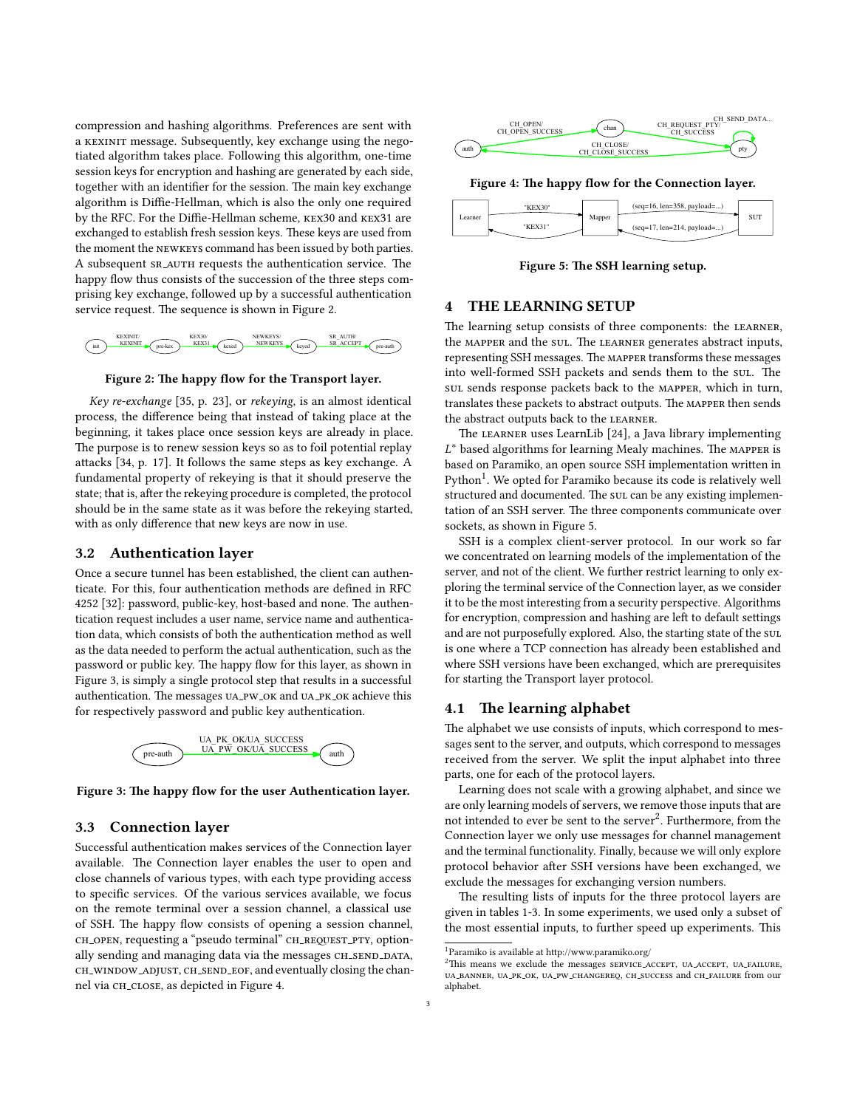compression and hashing algorithms. Preferences are sent with a kexinit message. Subsequently, key exchange using the negotiated algorithm takes place. Following this algorithm, one-time session keys for encryption and hashing are generated by each side, together with an identifier for the session. The main key exchange algorithm is Diffie-Hellman, which is also the only one required by the RFC. For the Diffie-Hellman scheme, KEX30 and KEX31 are exchanged to establish fresh session keys. These keys are used from the moment the newkeys command has been issued by both parties. A subsequent SR\_AUTH requests the authentication service. The happy flow thus consists of the succession of the three steps comprising key exchange, followed up by a successful authentication service request. The sequence is shown in Figure [2.](#page-2-0)

<span id="page-2-0"></span>

Figure 2: The happy flow for the Transport layer.

Key re-exchange [\[35,](#page-9-10) p. 23], or rekeying, is an almost identical process, the difference being that instead of taking place at the beginning, it takes place once session keys are already in place. The purpose is to renew session keys so as to foil potential replay attacks [\[34,](#page-9-30) p. 17]. It follows the same steps as key exchange. A fundamental property of rekeying is that it should preserve the state; that is, after the rekeying procedure is completed, the protocol should be in the same state as it was before the rekeying started, with as only difference that new keys are now in use.

#### 3.2 Authentication layer

Once a secure tunnel has been established, the client can authenticate. For this, four authentication methods are defined in RFC 4252 [\[32\]](#page-9-9): password, public-key, host-based and none. The authentication request includes a user name, service name and authentication data, which consists of both the authentication method as well as the data needed to perform the actual authentication, such as the password or public key. The happy flow for this layer, as shown in Figure [3,](#page-2-1) is simply a single protocol step that results in a successful authentication. The messages UA\_PW\_OK and UA\_PK\_OK achieve this for respectively password and public key authentication.

<span id="page-2-1"></span>



#### 3.3 Connection layer

Successful authentication makes services of the Connection layer available. The Connection layer enables the user to open and close channels of various types, with each type providing access to specific services. Of the various services available, we focus on the remote terminal over a session channel, a classical use of SSH. The happy flow consists of opening a session channel, ch open, requesting a "pseudo terminal" CH\_REQUEST\_PTY, optionally sending and managing data via the messages CH\_SEND\_DATA, ch window adjust, ch send eof, and eventually closing the chan-nel via CH\_CLOSE, as depicted in Figure [4.](#page-2-2)

<span id="page-2-2"></span>

Figure 4: The happy flow for the Connection layer.

<span id="page-2-4"></span>

Figure 5: The SSH learning setup.

## <span id="page-2-6"></span>4 THE LEARNING SETUP

The learning setup consists of three components: the LEARNER, the MAPPER and the sul. The LEARNER generates abstract inputs, representing SSH messages. The MAPPER transforms these messages into well-formed SSH packets and sends them to the sul. The sul sends response packets back to the mapper, which in turn, translates these packets to abstract outputs. The MAPPER then sends the abstract outputs back to the learner.

The LEARNER uses LearnLib [\[24\]](#page-9-31), a Java library implementing L based on Paramiko, an open source SSH implementation wrien in  $L^*$  based algorithms for learning Mealy machines. The MAPPER is  $Pv$ thon<sup>[1](#page-2-3)</sup>. We opted for Paramiko because its code is relatively well structured and documented. The sul can be any existing implementation of an SSH server. The three components communicate over sockets, as shown in Figure [5.](#page-2-4)

SSH is a complex client-server protocol. In our work so far we concentrated on learning models of the implementation of the server, and not of the client. We further restrict learning to only exploring the terminal service of the Connection layer, as we consider it to be the most interesting from a security perspective. Algorithms for encryption, compression and hashing are left to default settings and are not purposefully explored. Also, the starting state of the sul. is one where a TCP connection has already been established and where SSH versions have been exchanged, which are prerequisites for starting the Transport layer protocol.

#### <span id="page-2-7"></span>4.1 The learning alphabet

The alphabet we use consists of inputs, which correspond to messages sent to the server, and outputs, which correspond to messages received from the server. We split the input alphabet into three parts, one for each of the protocol layers.

Learning does not scale with a growing alphabet, and since we are only learning models of servers, we remove those inputs that are not intended to ever be sent to the server<sup>[2](#page-2-5)</sup>. Furthermore, from the Connection layer we only use messages for channel management and the terminal functionality. Finally, because we will only explore protocol behavior after SSH versions have been exchanged, we exclude the messages for exchanging version numbers.

The resulting lists of inputs for the three protocol layers are given in tables [1](#page-3-0)[-3.](#page-3-1) In some experiments, we used only a subset of the most essential inputs, to further speed up experiments. This

<span id="page-2-3"></span> $^1$  Paramiko is available at http://www.paramiko.org/  $\,$ 

<span id="page-2-5"></span> $2$ This means we exclude the messages SERVICE\_ACCEPT, UA\_ACCEPT, UA\_FAILURE, ua banner, ua pk ok, ua pw changereq, ch success and ch failure from our alphabet.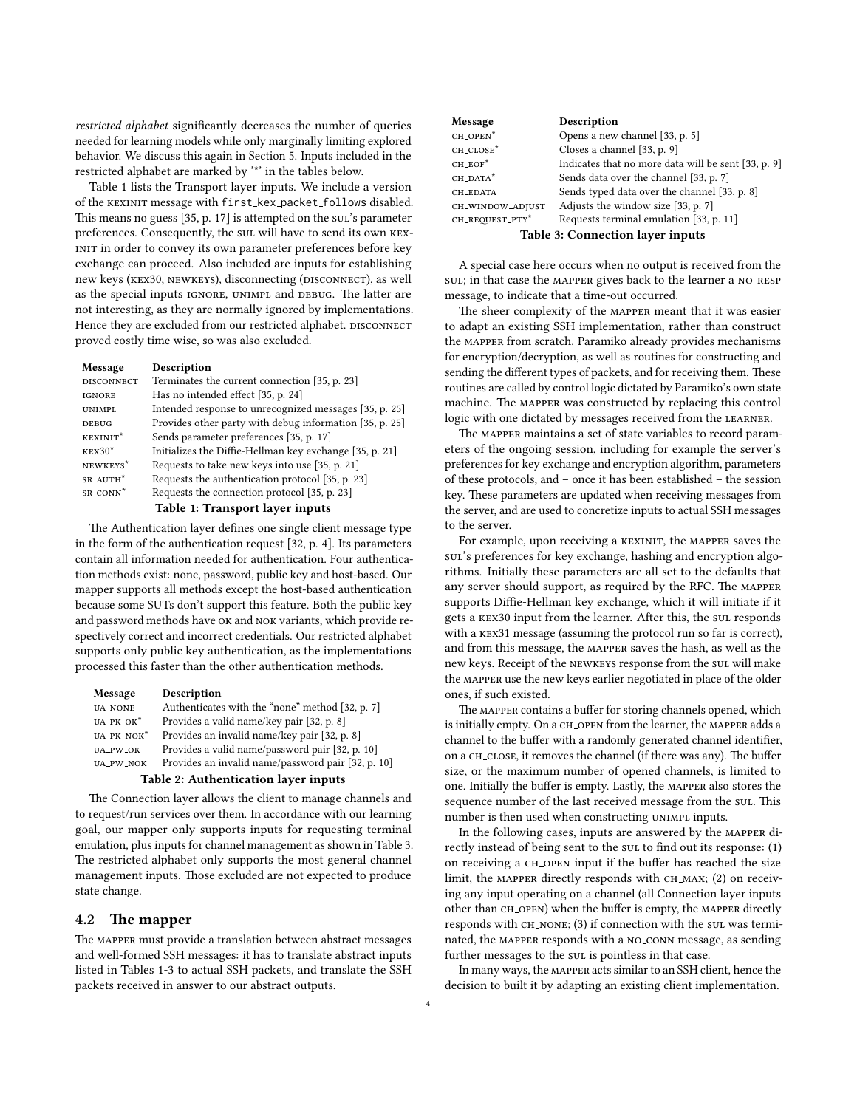restricted alphabet significantly decreases the number of queries needed for learning models while only marginally limiting explored behavior. We discuss this again in Section [5.](#page-4-0) Inputs included in the restricted alphabet are marked by '\*' in the tables below.

Table [1](#page-3-0) lists the Transport layer inputs. We include a version of the KEXINIT message with first\_kex\_packet\_follows disabled. This means no guess  $[35, p. 17]$  $[35, p. 17]$  is attempted on the sull's parameter preferences. Consequently, the sul will have to send its own KEX-INIT in order to convey its own parameter preferences before key exchange can proceed. Also included are inputs for establishing new keys (KEX30, NEWKEYS), disconnecting (DISCONNECT), as well as the special inputs IGNORE, UNIMPL and DEBUG. The latter are not interesting, as they are normally ignored by implementations. Hence they are excluded from our restricted alphabet. DISCONNECT proved costly time wise, so was also excluded.

<span id="page-3-0"></span>

| Message              | Description                                                                                                    |
|----------------------|----------------------------------------------------------------------------------------------------------------|
| <b>DISCONNECT</b>    | Terminates the current connection [35, p. 23]                                                                  |
| <b>IGNORE</b>        | Has no intended effect [35, p. 24]                                                                             |
| <b>UNIMPL</b>        | Intended response to unrecognized messages [35, p. 25]                                                         |
| <b>DEBUG</b>         | Provides other party with debug information [35, p. 25]                                                        |
| KEXINIT <sup>*</sup> | Sends parameter preferences [35, p. 17]                                                                        |
| $KEX30*$             | Initializes the Diffie-Hellman key exchange [35, p. 21]                                                        |
| NEWKEYS <sup>*</sup> | Requests to take new keys into use [35, p. 21]                                                                 |
| SR_AUTH <sup>*</sup> | Requests the authentication protocol [35, p. 23]                                                               |
| SR_CONN <sup>*</sup> | Requests the connection protocol [35, p. 23]                                                                   |
|                      | APRIL 1 contra a APRIL 2012 con la construcción de la constantia de la constantia de la constantia de la const |

#### Table 1: Transport layer inputs

The Authentication layer defines one single client message type in the form of the authentication request [\[32,](#page-9-9) p. 4]. Its parameters contain all information needed for authentication. Four authentication methods exist: none, password, public key and host-based. Our mapper supports all methods except the host-based authentication because some SUTs don't support this feature. Both the public key and password methods have ok and nok variants, which provide respectively correct and incorrect credentials. Our restricted alphabet supports only public key authentication, as the implementations processed this faster than the other authentication methods.

| Message                              | Description                                        |  |
|--------------------------------------|----------------------------------------------------|--|
| <b>UA_NONE</b>                       | Authenticates with the "none" method [32, p. 7]    |  |
| $UA_PK_OK^*$                         | Provides a valid name/key pair [32, p. 8]          |  |
| UA_PK_NOK*                           | Provides an invalid name/key pair [32, p. 8]       |  |
| UA_PW_OK                             | Provides a valid name/password pair [32, p. 10]    |  |
| <b>UA_PW_NOK</b>                     | Provides an invalid name/password pair [32, p. 10] |  |
| Table 2: Authentication layer inputs |                                                    |  |

The Connection layer allows the client to manage channels and to request/run services over them. In accordance with our learning goal, our mapper only supports inputs for requesting terminal emulation, plus inputs for channel management as shown in Table [3.](#page-3-1) The restricted alphabet only supports the most general channel management inputs. Those excluded are not expected to produce state change.

## <span id="page-3-2"></span>4.2 The mapper

The MAPPER must provide a translation between abstract messages and well-formed SSH messages: it has to translate abstract inputs listed in Tables [1](#page-3-0)[-3](#page-3-1) to actual SSH packets, and translate the SSH packets received in answer to our abstract outputs.

<span id="page-3-1"></span>

| Message                                 | Description                                         |  |  |
|-----------------------------------------|-----------------------------------------------------|--|--|
| CH_OPEN <sup>*</sup>                    | Opens a new channel [33, p. 5]                      |  |  |
| CH_CLOSE*                               | Closes a channel [33, p. 9]                         |  |  |
| $CH\_EOF$                               | Indicates that no more data will be sent [33, p. 9] |  |  |
| CH_DATA*                                | Sends data over the channel [33, p. 7]              |  |  |
| CH_EDATA                                | Sends typed data over the channel [33, p. 8]        |  |  |
| CH_WINDOW_ADJUST                        | Adjusts the window size [33, p. 7]                  |  |  |
| CH_REQUEST_PTY*                         | Requests terminal emulation [33, p. 11]             |  |  |
| <b>Table 3: Connection layer inputs</b> |                                                     |  |  |

A special case here occurs when no output is received from the sul; in that case the MAPPER gives back to the learner a NO\_RESP message, to indicate that a time-out occurred.

The sheer complexity of the MAPPER meant that it was easier to adapt an existing SSH implementation, rather than construct the mapper from scratch. Paramiko already provides mechanisms for encryption/decryption, as well as routines for constructing and sending the different types of packets, and for receiving them. These routines are called by control logic dictated by Paramiko's own state machine. The MAPPER was constructed by replacing this control logic with one dictated by messages received from the LEARNER.

The MAPPER maintains a set of state variables to record parameters of the ongoing session, including for example the server's preferences for key exchange and encryption algorithm, parameters of these protocols, and – once it has been established – the session key. These parameters are updated when receiving messages from the server, and are used to concretize inputs to actual SSH messages to the server.

For example, upon receiving a KEXINIT, the MAPPER saves the sul's preferences for key exchange, hashing and encryption algorithms. Initially these parameters are all set to the defaults that any server should support, as required by the RFC. The MAPPER supports Diffie-Hellman key exchange, which it will initiate if it gets a KEX30 input from the learner. After this, the sul responds with a kex31 message (assuming the protocol run so far is correct), and from this message, the mapper saves the hash, as well as the new keys. Receipt of the NEWKEYS response from the sul will make the mapper use the new keys earlier negotiated in place of the older ones, if such existed.

The MAPPER contains a buffer for storing channels opened, which is initially empty. On a CH\_OPEN from the learner, the MAPPER adds a channel to the buffer with a randomly generated channel identifier, on a CH\_CLOSE, it removes the channel (if there was any). The buffer size, or the maximum number of opened channels, is limited to one. Initially the buffer is empty. Lastly, the MAPPER also stores the sequence number of the last received message from the sul. This number is then used when constructing UNIMPL inputs.

In the following cases, inputs are answered by the mapper directly instead of being sent to the sul to find out its response: (1) on receiving a CH\_OPEN input if the buffer has reached the size limit, the MAPPER directly responds with CH\_MAX; (2) on receiving any input operating on a channel (all Connection layer inputs other than CH\_OPEN) when the buffer is empty, the MAPPER directly responds with CH\_NONE; (3) if connection with the sul was terminated, the mapper responds with a no conn message, as sending further messages to the sul is pointless in that case.

In many ways, the mapper acts similar to an SSH client, hence the decision to built it by adapting an existing client implementation.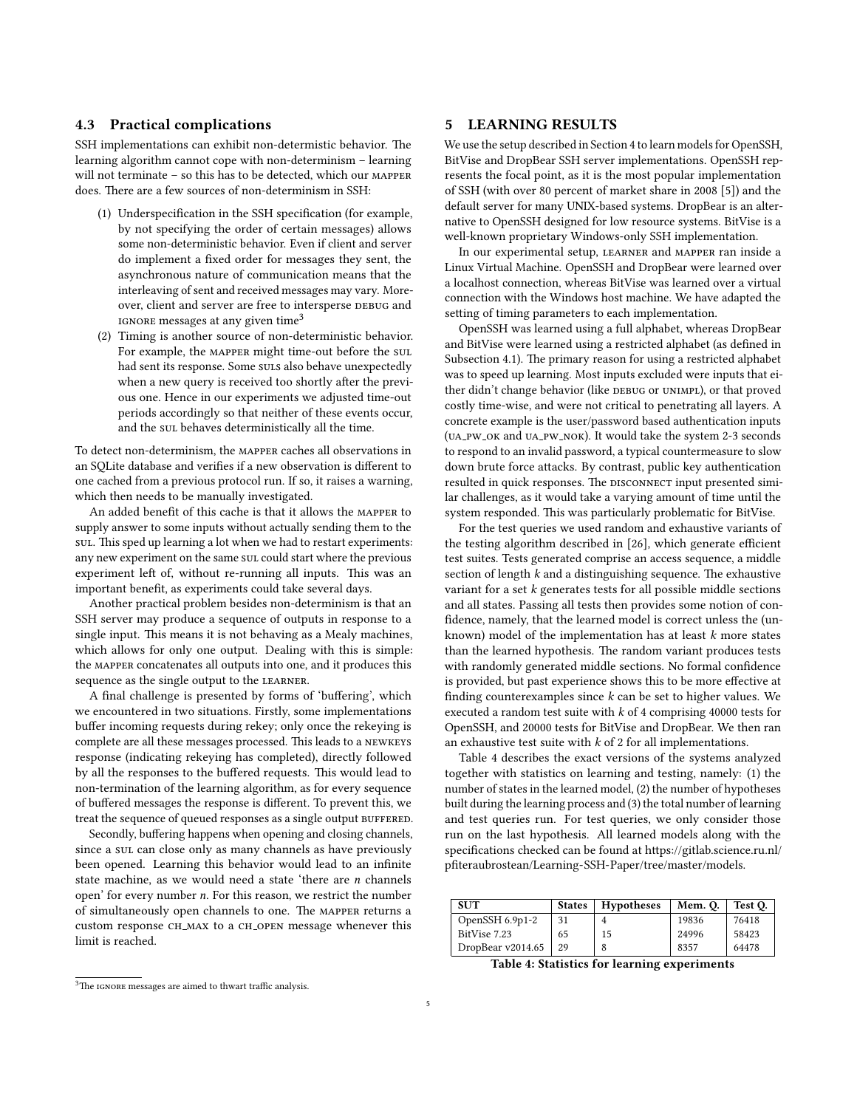#### 4.3 Practical complications

SSH implementations can exhibit non-determistic behavior. The learning algorithm cannot cope with non-determinism – learning will not terminate – so this has to be detected, which our mapper does. There are a few sources of non-determinism in SSH:

- (1) Underspecification in the SSH specification (for example, by not specifying the order of certain messages) allows some non-deterministic behavior. Even if client and server do implement a fixed order for messages they sent, the asynchronous nature of communication means that the interleaving of sent and received messages may vary. Moreover, client and server are free to intersperse DEBUG and IGNORE messages at any given time<sup>[3](#page-4-1)</sup>
- (2) Timing is another source of non-deterministic behavior. For example, the mapper might time-out before the sul had sent its response. Some suls also behave unexpectedly when a new query is received too shortly after the previous one. Hence in our experiments we adjusted time-out periods accordingly so that neither of these events occur, and the sul behaves deterministically all the time.

To detect non-determinism, the mapper caches all observations in an SOLite database and verifies if a new observation is different to one cached from a previous protocol run. If so, it raises a warning, which then needs to be manually investigated.

An added benefit of this cache is that it allows the MAPPER to supply answer to some inputs without actually sending them to the sul. This sped up learning a lot when we had to restart experiments: any new experiment on the same sul could start where the previous experiment left of, without re-running all inputs. This was an important benefit, as experiments could take several days.

Another practical problem besides non-determinism is that an SSH server may produce a sequence of outputs in response to a single input. This means it is not behaving as a Mealy machines, which allows for only one output. Dealing with this is simple: the mapper concatenates all outputs into one, and it produces this sequence as the single output to the learner.

A final challenge is presented by forms of 'buffering', which we encountered in two situations. Firstly, some implementations buffer incoming requests during rekey; only once the rekeying is complete are all these messages processed. This leads to a NEWKEYS response (indicating rekeying has completed), directly followed by all the responses to the buffered requests. This would lead to non-termination of the learning algorithm, as for every sequence of buffered messages the response is different. To prevent this, we treat the sequence of queued responses as a single output BUFFERED.

Secondly, buffering happens when opening and closing channels, since a sul can close only as many channels as have previously been opened. Learning this behavior would lead to an infinite state machine, as we would need a state 'there are n channels open' for every number n. For this reason, we restrict the number of simultaneously open channels to one. The MAPPER returns a custom response CH\_MAX to a CH\_OPEN message whenever this limit is reached.

#### <span id="page-4-0"></span>5 LEARNING RESULTS

We use the setup described in Section [4](#page-2-6) to learn models for OpenSSH, BitVise and DropBear SSH server implementations. OpenSSH represents the focal point, as it is the most popular implementation of SSH (with over 80 percent of market share in 2008 [\[5\]](#page-9-2)) and the default server for many UNIX-based systems. DropBear is an alternative to OpenSSH designed for low resource systems. BitVise is a well-known proprietary Windows-only SSH implementation.

In our experimental setup, learner and mapper ran inside a Linux Virtual Machine. OpenSSH and DropBear were learned over a localhost connection, whereas BitVise was learned over a virtual connection with the Windows host machine. We have adapted the setting of timing parameters to each implementation.

OpenSSH was learned using a full alphabet, whereas DropBear and BitVise were learned using a restricted alphabet (as defined in Subsection [4.1\)](#page-2-7). The primary reason for using a restricted alphabet was to speed up learning. Most inputs excluded were inputs that either didn't change behavior (like DEBUG or UNIMPL), or that proved costly time-wise, and were not critical to penetrating all layers. A concrete example is the user/password based authentication inputs (ua pw ok and ua pw nok). It would take the system 2-3 seconds to respond to an invalid password, a typical countermeasure to slow down brute force attacks. By contrast, public key authentication resulted in quick responses. The DISCONNECT input presented similar challenges, as it would take a varying amount of time until the system responded. This was particularly problematic for BitVise.

For the test queries we used random and exhaustive variants of the testing algorithm described in  $[26]$ , which generate efficient test suites. Tests generated comprise an access sequence, a middle section of length  $k$  and a distinguishing sequence. The exhaustive variant for a set  $k$  generates tests for all possible middle sections and all states. Passing all tests then provides some notion of con fidence, namely, that the learned model is correct unless the (unknown) model of the implementation has at least  $k$  more states than the learned hypothesis. The random variant produces tests with randomly generated middle sections. No formal confidence is provided, but past experience shows this to be more effective at finding counterexamples since  $k$  can be set to higher values. We executed a random test suite with  $k$  of 4 comprising 40000 tests for OpenSSH, and 20000 tests for BitVise and DropBear. We then ran an exhaustive test suite with  $k$  of 2 for all implementations.

Table [4](#page-4-2) describes the exact versions of the systems analyzed together with statistics on learning and testing, namely: (1) the number of states in the learned model, (2) the number of hypotheses built during the learning process and (3) the total number of learning and test queries run. For test queries, we only consider those run on the last hypothesis. All learned models along with the specifications checked can be found at https://gitlab.science.ru.nl/ pfiteraubrostean/Learning-SSH-Paper/tree/master/models.

<span id="page-4-2"></span>

| <b>SUT</b>        | <b>States</b> | <b>Hypotheses</b> | Mem. O. | Test O. |
|-------------------|---------------|-------------------|---------|---------|
| OpenSSH $6.9p1-2$ | 31            |                   | 19836   | 76418   |
| BitVise 7.23      | 65            | 15                | 24996   | 58423   |
| DropBear v2014.65 | 29            |                   | 8357    | 64478   |

Table 4: Statistics for learning experiments

<span id="page-4-1"></span> $3$ The IGNORE messages are aimed to thwart traffic analysis.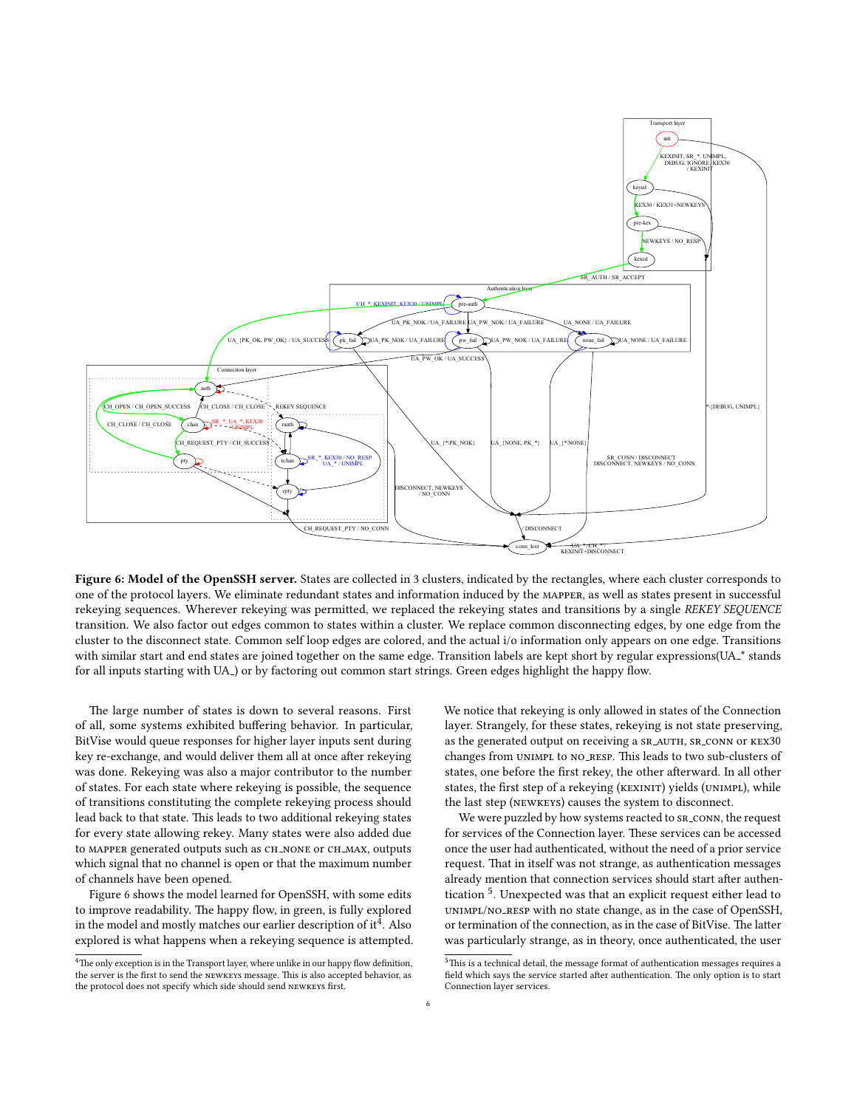<span id="page-5-0"></span>

Figure 6: Model of the OpenSSH server. States are collected in 3 clusters, indicated by the rectangles, where each cluster corresponds to one of the protocol layers. We eliminate redundant states and information induced by the mapper, as well as states present in successful rekeying sequences. Wherever rekeying was permitted, we replaced the rekeying states and transitions by a single REKEY SEQUENCE transition. We also factor out edges common to states within a cluster. We replace common disconnecting edges, by one edge from the cluster to the disconnect state. Common self loop edges are colored, and the actual i/o information only appears on one edge. Transitions with similar start and end states are joined together on the same edge. Transition labels are kept short by regular expressions(UA<sub>-</sub>\* stands for all inputs starting with UA<sub>-</sub>) or by factoring out common start strings. Green edges highlight the happy flow.

The large number of states is down to several reasons. First of all, some systems exhibited buffering behavior. In particular, BitVise would queue responses for higher layer inputs sent during key re-exchange, and would deliver them all at once after rekeying was done. Rekeying was also a major contributor to the number of states. For each state where rekeying is possible, the sequence of transitions constituting the complete rekeying process should lead back to that state. This leads to two additional rekeying states for every state allowing rekey. Many states were also added due to MAPPER generated outputs such as CH\_NONE or CH\_MAX, outputs which signal that no channel is open or that the maximum number of channels have been opened.

Figure [6](#page-5-0) shows the model learned for OpenSSH, with some edits to improve readability. The happy flow, in green, is fully explored in the model and mostly matches our earlier description of it  $\frac{1}{4}$  $\frac{1}{4}$  $\frac{1}{4}$ . Also explored is what happens when a rekeying sequence is attempted. We notice that rekeying is only allowed in states of the Connection layer. Strangely, for these states, rekeying is not state preserving, as the generated output on receiving a  $SR_AUTH$ ,  $SR_CONN$  or  $KEX30$ changes from UNIMPL to NO\_RESP. This leads to two sub-clusters of states, one before the first rekey, the other afterward. In all other states, the first step of a rekeying (KEXINIT) yields (UNIMPL), while the last step (newkeys) causes the system to disconnect.

We were puzzled by how systems reacted to SR\_CONN, the request for services of the Connection layer. These services can be accessed once the user had authenticated, without the need of a prior service request. That in itself was not strange, as authentication messages already mention that connection services should start after authen-tication <sup>[5](#page-5-2)</sup>. Unexpected was that an explicit request either lead to unimpl/no resp with no state change, as in the case of OpenSSH, or termination of the connection, as in the case of BitVise. The latter was particularly strange, as in theory, once authenticated, the user

<span id="page-5-1"></span><sup>&</sup>lt;sup>4</sup>The only exception is in the Transport layer, where unlike in our happy flow definition, the server is the first to send the NEWKEYS message. This is also accepted behavior, as the protocol does not specify which side should send NEWKEYS first.

<span id="page-5-2"></span> $^5$  This is a technical detail, the message format of authentication messages requires a field which says the service started after authentication. The only option is to start Connection layer services.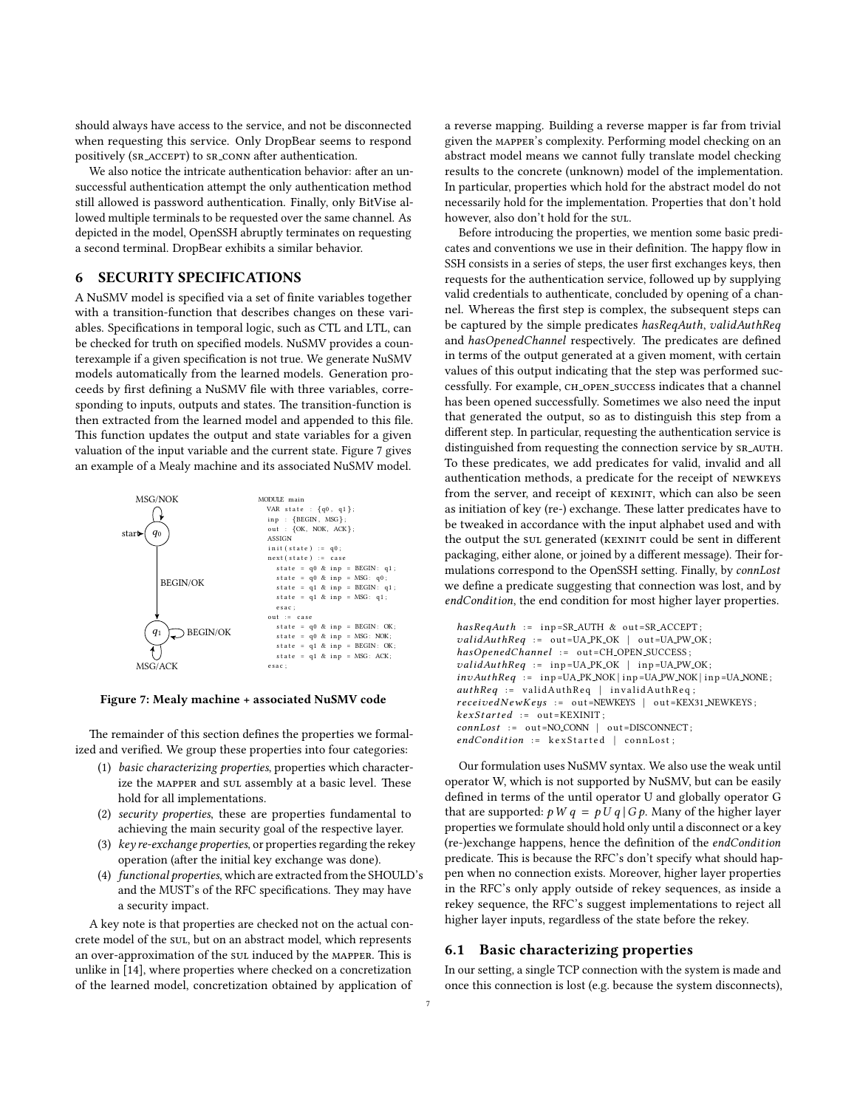should always have access to the service, and not be disconnected when requesting this service. Only DropBear seems to respond positively (SR\_ACCEPT) to SR\_CONN after authentication.

We also notice the intricate authentication behavior: after an unsuccessful authentication attempt the only authentication method still allowed is password authentication. Finally, only BitVise allowed multiple terminals to be requested over the same channel. As depicted in the model, OpenSSH abruptly terminates on requesting a second terminal. DropBear exhibits a similar behavior.

# 6 SECURITY SPECIFICATIONS

A NuSMV model is specified via a set of finite variables together with a transition-function that describes changes on these variables. Specifications in temporal logic, such as CTL and LTL, can be checked for truth on specified models. NuSMV provides a counterexample if a given specification is not true. We generate NuSMV models automatically from the learned models. Generation proceeds by first defining a NuSMV file with three variables, corresponding to inputs, outputs and states. The transition-function is then extracted from the learned model and appended to this file. This function updates the output and state variables for a given valuation of the input variable and the current state. Figure [7](#page-6-0) gives an example of a Mealy machine and its associated NuSMV model.

<span id="page-6-0"></span>

Figure 7: Mealy machine + associated NuSMV code

The remainder of this section defines the properties we formalized and verified. We group these properties into four categories:

- (1) basic characterizing properties, properties which characterize the MAPPER and sul assembly at a basic level. These hold for all implementations.
- (2) security properties, these are properties fundamental to achieving the main security goal of the respective layer.
- (3) key re-exchange properties, or properties regarding the rekey operation (after the initial key exchange was done).
- (4) functional properties, which are extracted from the SHOULD's and the MUST's of the RFC specifications. They may have a security impact.

A key note is that properties are checked not on the actual concrete model of the sul, but on an abstract model, which represents an over-approximation of the sul induced by the MAPPER. This is unlike in [\[14\]](#page-9-22), where properties where checked on a concretization of the learned model, concretization obtained by application of

a reverse mapping. Building a reverse mapper is far from trivial given the mapper's complexity. Performing model checking on an abstract model means we cannot fully translate model checking results to the concrete (unknown) model of the implementation. In particular, properties which hold for the abstract model do not necessarily hold for the implementation. Properties that don't hold however, also don't hold for the sul.

Before introducing the properties, we mention some basic predicates and conventions we use in their definition. The happy flow in SSH consists in a series of steps, the user first exchanges keys, then requests for the authentication service, followed up by supplying valid credentials to authenticate, concluded by opening of a channel. Whereas the first step is complex, the subsequent steps can be captured by the simple predicates hasReqAuth, validAuthReq and hasOpenedChannel respectively. The predicates are defined in terms of the output generated at a given moment, with certain values of this output indicating that the step was performed successfully. For example, ch open success indicates that a channel has been opened successfully. Sometimes we also need the input that generated the output, so as to distinguish this step from a different step. In particular, requesting the authentication service is distinguished from requesting the connection service by SR\_AUTH. To these predicates, we add predicates for valid, invalid and all authentication methods, a predicate for the receipt of newkeys from the server, and receipt of KEXINIT, which can also be seen as initiation of key (re-) exchange. These latter predicates have to be tweaked in accordance with the input alphabet used and with the output the sul generated (KEXINIT could be sent in different packaging, either alone, or joined by a different message). Their formulations correspond to the OpenSSH setting. Finally, by connLost we define a predicate suggesting that connection was lost, and by endCondition, the end condition for most higher layer properties.

```
hasRegAuth := inp = SR_A UTH \& out = SR_A CCEPT;validAuthor := out=UA_PK_OK | out=UA_PW_OK;
hasOpenedChannel := out=CH_OPEN_SUCCESS;
validAuthorReg := in p=UA_PK_OK | in p=UA_PW_OK;
invAuthReg := \text{inp=UA.PK.NOK} \mid \text{inp=UA.PW.NOK} \mid \text{inp=UA.NONE};authReg := validAuthorReg | invalidAuthor;received NewKeys := out = NEWKEYS | out =KEX31_NEWKEYS;
kexStarted := out = KEXINIT;connLoss := out=NO_CONN | out=DISCONNECT;
endCondition := \text{kexStarted} | connLost;
```
Our formulation uses NuSMV syntax. We also use the weak until operator W, which is not supported by NuSMV, but can be easily defined in terms of the until operator U and globally operator G that are supported:  $p W q = p U q | G p$ . Many of the higher layer properties we formulate should hold only until a disconnect or a key (re-)exchange happens, hence the definition of the endCondition predicate. This is because the RFC's don't specify what should happen when no connection exists. Moreover, higher layer properties in the RFC's only apply outside of rekey sequences, as inside a rekey sequence, the RFC's suggest implementations to reject all higher layer inputs, regardless of the state before the rekey.

#### 6.1 Basic characterizing properties

In our setting, a single TCP connection with the system is made and once this connection is lost (e.g. because the system disconnects),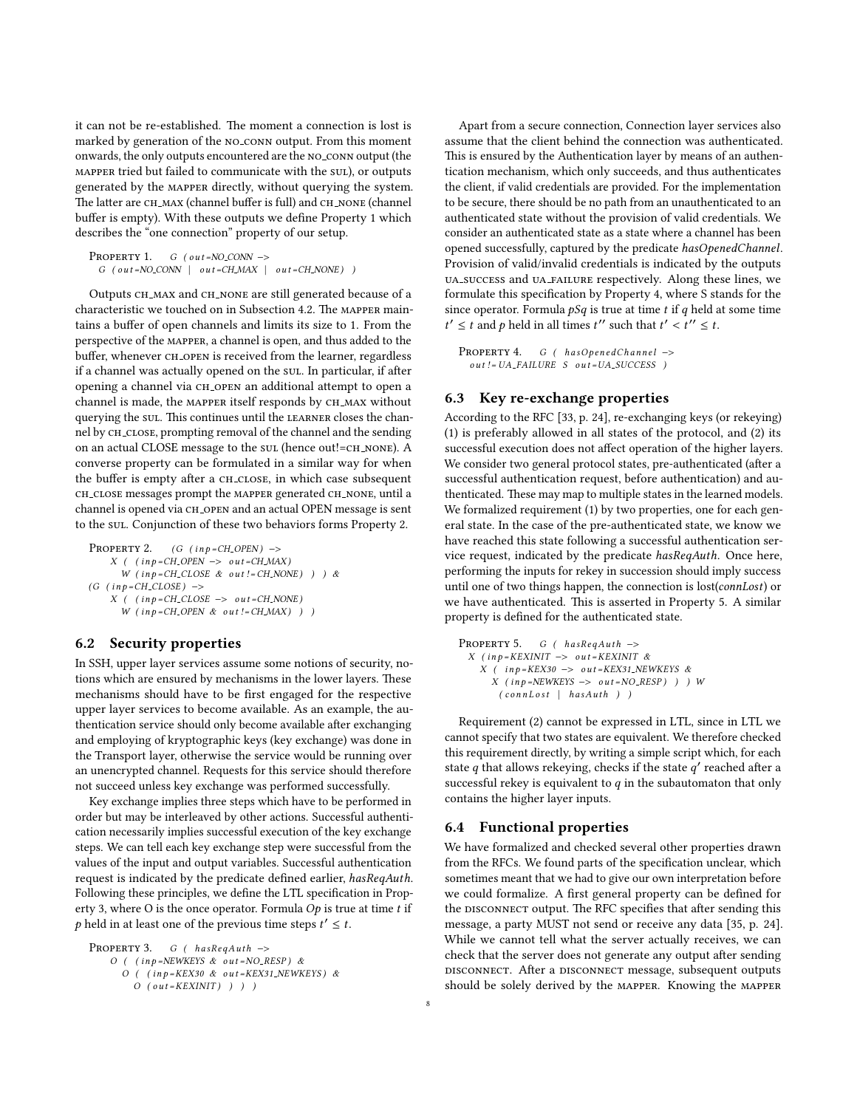it can not be re-established. The moment a connection is lost is marked by generation of the no conn output. From this moment onwards, the only outputs encountered are the no conn output (the mapper tried but failed to communicate with the sul), or outputs generated by the mapper directly, without querying the system. The latter are CH\_MAX (channel buffer is full) and CH\_NONE (channel buffer is empty). With these outputs we define Property [1](#page-7-0) which describes the "one connection" property of our setup.

```
PROPERTY 1. G ( out=NO CONN \rightarrow G ( out=NO CONN | out = CH_MAX | out = CH_NONE) )
```
Outputs ch max and ch none are still generated because of a characteristic we touched on in Subsection [4.2.](#page-3-2) The MAPPER maintains a buffer of open channels and limits its size to 1. From the perspective of the mapper, a channel is open, and thus added to the buffer, whenever CH\_OPEN is received from the learner, regardless if a channel was actually opened on the sul. In particular, if after opening a channel via CH\_OPEN an additional attempt to open a channel is made, the MAPPER itself responds by CH\_MAX without querying the sul. This continues until the LEARNER closes the channel by CH\_CLOSE, prompting removal of the channel and the sending on an actual CLOSE message to the sul (hence out!=CH\_NONE). A converse property can be formulated in a similar way for when the buffer is empty after a CH\_CLOSE, in which case subsequent CH\_CLOSE messages prompt the MAPPER generated CH\_NONE, until a channel is opened via CH\_OPEN and an actual OPEN message is sent to the sul. Conjunction of these two behaviors forms Property [2.](#page-7-1)

```
PROPERTY 2. (G (inp = CH \_OPEN) ->
    X ( (inp=CH\_OPEN \rightarrow out=CH\_MAX)W (inp=CH\_CLOSE \& out != CH\_NONE) ) ) &
(G (inp=CH\_CLOSE) ->
    X ( ( in p = CH\_CLOSE -> out = CH_NONE)
      W (in p = CH_OPEN & out ! = CH_MAX) ) )
```
# <span id="page-7-1"></span>6.2 Security properties

In SSH, upper layer services assume some notions of security, notions which are ensured by mechanisms in the lower layers. These mechanisms should have to be first engaged for the respective upper layer services to become available. As an example, the authentication service should only become available after exchanging and employing of kryptographic keys (key exchange) was done in the Transport layer, otherwise the service would be running over an unencrypted channel. Requests for this service should therefore not succeed unless key exchange was performed successfully.

Key exchange implies three steps which have to be performed in order but may be interleaved by other actions. Successful authentication necessarily implies successful execution of the key exchange steps. We can tell each key exchange step were successful from the values of the input and output variables. Successful authentication request is indicated by the predicate defined earlier, hasReqAuth. Following these principles, we define the LTL specification in Prop-erty [3,](#page-7-2) where O is the once operator. Formula  $Op$  is true at time t if p held in at least one of the previous time steps  $t' \leq t$ .

```
PROPERTY 3. G ( has RegAuth -><br>O ( (in p =NEWKEYS & out =NO_RESP) &
       O ( (inp=KEX30 \& out=KEX31_NEWKEYS) &
          O ( out = KEXINIT) ) ) )
```
Apart from a secure connection, Connection layer services also assume that the client behind the connection was authenticated. This is ensured by the Authentication layer by means of an authentication mechanism, which only succeeds, and thus authenticates the client, if valid credentials are provided. For the implementation to be secure, there should be no path from an unauthenticated to an authenticated state without the provision of valid credentials. We consider an authenticated state as a state where a channel has been opened successfully, captured by the predicate hasOpenedChannel. Provision of valid/invalid credentials is indicated by the outputs ua success and ua failure respectively. Along these lines, we formulate this specification by Property [4,](#page-7-3) where S stands for the since operator. Formula  $pSq$  is true at time t if q held at some time  $t' \leq t$  and p held in all times  $t''$  such that  $t'$  $\langle t'' \leq t.$ 

```
PROPERTY 4. G ( has Opened Channel –>
  out != UA\_FAILURE S out = UA\_SUCCES)
```
# 6.3 Key re-exchange properties

According to the RFC [\[33,](#page-9-29) p. 24], re-exchanging keys (or rekeying) (1) is preferably allowed in all states of the protocol, and (2) its successful execution does not affect operation of the higher layers. We consider two general protocol states, pre-authenticated (after a successful authentication request, before authentication) and authenticated. These may map to multiple states in the learned models. We formalized requirement (1) by two properties, one for each general state. In the case of the pre-authenticated state, we know we have reached this state following a successful authentication service request, indicated by the predicate hasReqAuth. Once here, performing the inputs for rekey in succession should imply success until one of two things happen, the connection is lost(connLost) or we have authenticated. This is asserted in Property [5.](#page-7-4) A similar property is defined for the authenticated state.

PROPERTY 5.  $G$  (  $hasRegAuth$  ->  $X$  ( in p = KEXINIT –> out = KEXINIT &  $X$  ( in p = KEX30 -> out = KEX31\_NEWKEYS &  $X$  ( in p =NEWKEYS -> out =NO\_RESP) ) ) W  $(conn Lost \ | \ hasAuth \ ) )$ 

<span id="page-7-4"></span>Requirement (2) cannot be expressed in LTL, since in LTL we cannot specify that two states are equivalent. We therefore checked this requirement directly, by writing a simple script which, for each state q that allows rekeying, checks if the state  $q'$  reached after a successful rekey is equivalent to q in the subsutamaton that only successful rekey is equivalent to  $q$  in the subautomaton that only contains the higher layer inputs.

#### 6.4 Functional properties

We have formalized and checked several other properties drawn from the RFCs. We found parts of the specification unclear, which sometimes meant that we had to give our own interpretation before we could formalize. A first general property can be defined for the DISCONNECT output. The RFC specifies that after sending this message, a party MUST not send or receive any data [\[35,](#page-9-10) p. 24]. While we cannot tell what the server actually receives, we can check that the server does not generate any output after sending disconnect. After a disconnect message, subsequent outputs should be solely derived by the mapper. Knowing the mapper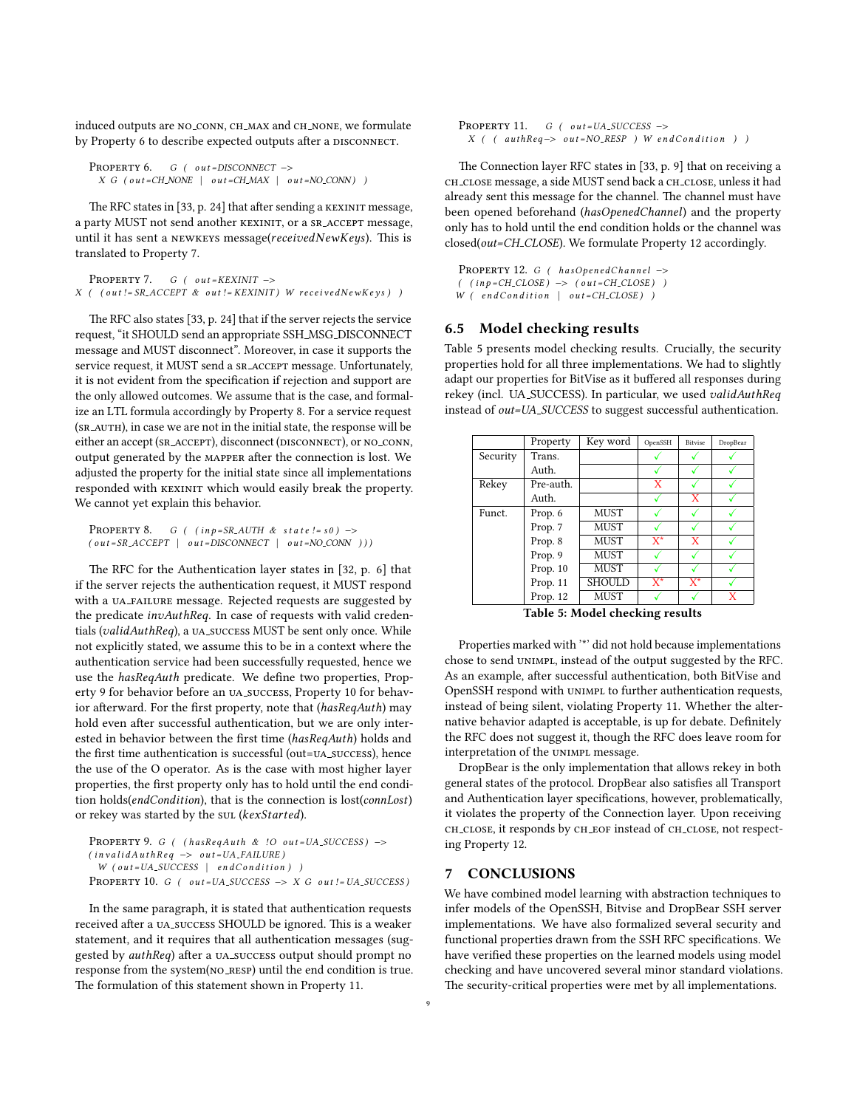induced outputs are NO\_CONN, CH\_MAX and CH\_NONE, we formulate by Property [6](#page-8-0) to describe expected outputs after a DISCONNECT.

```
PROPERTY 6. G ( out = DISCONNECT ->
 X \ G \ (out=CH\_NONE \ | out=CH\_MAX \ | out=NO\_CONN) )
```
The RFC states in [\[33,](#page-9-29) p. 24] that after sending a KEXINIT message, a party MUST not send another KEXINIT, or a SR\_ACCEPT message, until it has sent a NEWKEYS message( $received NewKeys$ ). This is translated to Property [7.](#page-8-1)

```
PROPERTY 7. G ( out = KEXINIT ->
X ( ( out != SR_ACCEPT & out != KEXINIT) W received New Keys ) )
```
The RFC also states  $[33, p. 24]$  $[33, p. 24]$  that if the server rejects the service request, "it SHOULD send an appropriate SSH MSG DISCONNECT message and MUST disconnect". Moreover, in case it supports the service request, it MUST send a SR\_ACCEPT message. Unfortunately, it is not evident from the specification if rejection and support are the only allowed outcomes. We assume that is the case, and formalize an LTL formula accordingly by Property [8.](#page-8-2) For a service request (SR\_AUTH), in case we are not in the initial state, the response will be either an accept (SR\_ACCEPT), disconnect (DISCONNECT), or NO\_CONN, output generated by the MAPPER after the connection is lost. We adjusted the property for the initial state since all implementations responded with KEXINIT which would easily break the property. We cannot yet explain this behavior.

```
PROPERTY 8. G ( (inp=S R_A U TH \& state != s0) ->
( \text{ out} = SR\_ACCEPT \mid \text{ out} = DISCONNECT \mid \text{ out} = NO\_CONN ))
```
The RFC for the Authentication layer states in [\[32,](#page-9-9) p. 6] that if the server rejects the authentication request, it MUST respond with a UA\_FAILURE message. Rejected requests are suggested by the predicate invAuthReq. In case of requests with valid credentials (validAuthReq), a UA\_SUCCESS MUST be sent only once. While not explicitly stated, we assume this to be in a context where the authentication service had been successfully requested, hence we use the hasReqAuth predicate. We define two properties, Property [9](#page-8-3) for behavior before an ua success, Property [10](#page-8-4) for behavior afterward. For the first property, note that (hasReqAuth) may hold even after successful authentication, but we are only interested in behavior between the first time (hasReqAuth) holds and the first time authentication is successful (out=uA\_success), hence the use of the O operator. As is the case with most higher layer properties, the first property only has to hold until the end condition holds(endCondition), that is the connection is lost(connLost) or rekey was started by the sul (kexStarted).

```
PROPERTY 9. G ( (hasRegAuth & !O out = UA_SUCCESS) ->
(i n validAut hReg \rightarrow out=UA\_FAILURE)W (out=UA_SUCCESS | end Condition))
PROPERTY 10. G ( out = UA_SUCCESS \rightarrow X G out != UA_SUCCESS)
```
In the same paragraph, it is stated that authentication requests received after a UA\_SUCCESS SHOULD be ignored. This is a weaker statement, and it requires that all authentication messages (suggested by authReq) after a UA\_SUCCESS output should prompt no response from the system(NO\_RESP) until the end condition is true. The formulation of this statement shown in Property [11.](#page-8-5)

```
PROPERTY 11. G ( out = UA SUCCESS \rightarrowX ( ( authReq -> out = NO_RESP ) W end Condition ) )
```
The Connection layer RFC states in [\[33,](#page-9-29) p. 9] that on receiving a ch close message, a side MUST send back a ch close, unless it had already sent this message for the channel. The channel must have been opened beforehand (hasOpenedChannel) and the property only has to hold until the end condition holds or the channel was closed(out=CH CLOSE). We formulate Property [12](#page-8-6) accordingly.

<span id="page-8-6"></span>PROPERTY 12. G ( $hasOperedChannel$  ->  $($   $(inp=CH\_CLOSE)$   $\rightarrow$   $(out=CH\_CLOSE)$  )  $W$  (endCondition | out=CH\_CLOSE) )

#### 6.5 Model checking results

Table [5](#page-8-7) presents model checking results. Crucially, the security properties hold for all three implementations. We had to slightly adapt our properties for BitVise as it buffered all responses during rekey (incl. UA SUCCESS). In particular, we used validAuthReq instead of out=UA SUCCESS to suggest successful authentication.

<span id="page-8-7"></span>

|          | Property  | Key word      | OpenSSH | <b>Bitvise</b> | DropBear |
|----------|-----------|---------------|---------|----------------|----------|
| Security | Trans.    |               |         |                |          |
|          | Auth.     |               |         |                |          |
| Rekey    | Pre-auth. |               | X       |                |          |
|          | Auth.     |               |         | X              |          |
| Funct.   | Prop. 6   | <b>MUST</b>   |         |                |          |
|          | Prop. 7   | <b>MUST</b>   |         |                |          |
|          | Prop. 8   | <b>MUST</b>   | $X^*$   | X              |          |
|          | Prop. 9   | <b>MUST</b>   |         |                |          |
|          | Prop. 10  | <b>MUST</b>   |         |                |          |
|          | Prop. 11  | <b>SHOULD</b> | $X^*$   | $X^*$          |          |
|          | Prop. 12  | <b>MUST</b>   |         |                | X        |

Table 5: Model checking results

Properties marked with '\*' did not hold because implementations chose to send unimpl, instead of the output suggested by the RFC. As an example, after successful authentication, both BitVise and OpenSSH respond with unimpl to further authentication requests, instead of being silent, violating Property [11.](#page-8-5) Whether the alternative behavior adapted is acceptable, is up for debate. Definitely the RFC does not suggest it, though the RFC does leave room for interpretation of the unimpl message.

DropBear is the only implementation that allows rekey in both general states of the protocol. DropBear also satisfies all Transport and Authentication layer specifications, however, problematically, it violates the property of the Connection layer. Upon receiving ch close, it responds by ch eof instead of ch close, not respecting Property [12.](#page-8-6)

# 7 CONCLUSIONS

We have combined model learning with abstraction techniques to infer models of the OpenSSH, Bitvise and DropBear SSH server implementations. We have also formalized several security and functional properties drawn from the SSH RFC specifications. We have verified these properties on the learned models using model checking and have uncovered several minor standard violations. The security-critical properties were met by all implementations.